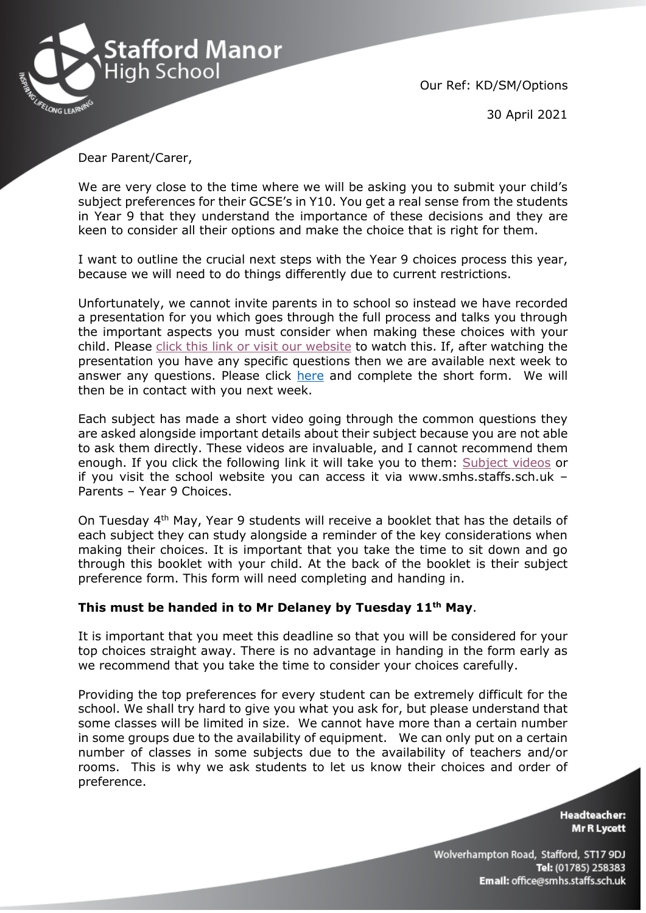

Our Ref: KD/SM/Options

30 April 2021

Dear Parent/Carer,

We are very close to the time where we will be asking you to submit your child's subject preferences for their GCSE's in Y10. You get a real sense from the students in Year 9 that they understand the importance of these decisions and they are keen to consider all their options and make the choice that is right for them.

I want to outline the crucial next steps with the Year 9 choices process this year, because we will need to do things differently due to current restrictions.

Unfortunately, we cannot invite parents in to school so instead we have recorded a presentation for you which goes through the full process and talks you through the important aspects you must consider when making these choices with your child. Please [click this link or visit our website](https://www.staffordmanorhighschool.com/year-9-choices) to watch this. If, after watching the presentation you have any specific questions then we are available next week to answer any questions. Please click [here](https://forms.gle/tFgGKYFYAVLo66Tq7) and complete the short form. We will then be in contact with you next week.

Each subject has made a short video going through the common questions they are asked alongside important details about their subject because you are not able to ask them directly. These videos are invaluable, and I cannot recommend them enough. If you click the following link it will take you to them: [Subject videos](https://www.staffordmanorhighschool.com/year-9-choices) or if you visit the school website you can access it via www.smhs.staffs.sch.uk – Parents – Year 9 Choices.

On Tuesday 4<sup>th</sup> May, Year 9 students will receive a booklet that has the details of each subject they can study alongside a reminder of the key considerations when making their choices. It is important that you take the time to sit down and go through this booklet with your child. At the back of the booklet is their subject preference form. This form will need completing and handing in.

## **This must be handed in to Mr Delaney by Tuesday 11th May**.

It is important that you meet this deadline so that you will be considered for your top choices straight away. There is no advantage in handing in the form early as we recommend that you take the time to consider your choices carefully.

Providing the top preferences for every student can be extremely difficult for the school. We shall try hard to give you what you ask for, but please understand that some classes will be limited in size. We cannot have more than a certain number in some groups due to the availability of equipment. We can only put on a certain number of classes in some subjects due to the availability of teachers and/or rooms. This is why we ask students to let us know their choices and order of preference.

> **Headteacher:** Mr R Lycett

Wolverhampton Road, Stafford, ST17 9DJ Tel: (01785) 258383 Email: office@smhs.staffs.sch.uk